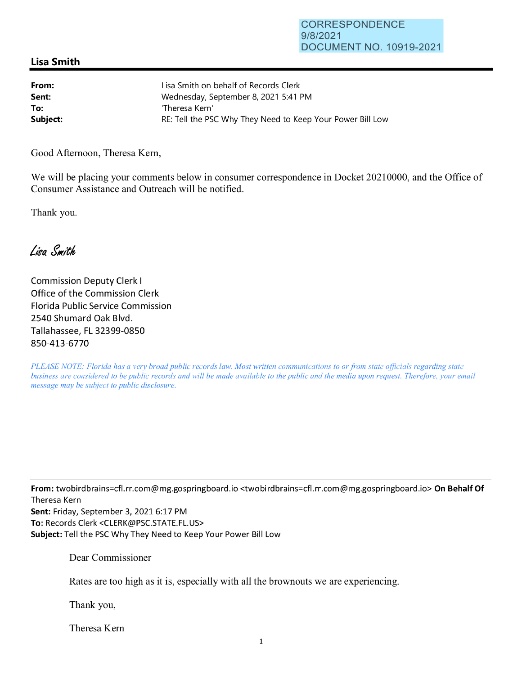## **Lisa Smith**

| From:    | Lisa Smith on behalf of Records Clerk                      |
|----------|------------------------------------------------------------|
| Sent:    | Wednesday, September 8, 2021 5:41 PM                       |
| To:      | 'Theresa Kern'                                             |
| Subject: | RE: Tell the PSC Why They Need to Keep Your Power Bill Low |

Good Afternoon, Theresa Kem,

We will be placing your comments below in consumer correspondence in Docket 20210000, and the Office of Consumer Assistance and Outreach will be notified.

Thank you.

Lisa Smith

Commission Deputy Clerk I Office of the Commission Clerk Florida Public Service Commission 2540 Shumard Oak Blvd. Tallahassee, FL 32399-0850 850-413-6770

*PLEASE NOTE: Florida has a very broad public records law. Most written communications to or from state officials regarding state business are considered to be public records and will be made available to the public and the media upon request. Therefore, your email message may be subject to public disclosure.* 

**From:** twobirdbrains=cfl.rr.com@mg.gospringboard.io <twobirdbrains=cfl.rr.com@mg.gospringboard.io> **On Behalf Of**  Theresa Kern **Sent:** Friday, September 3, 2021 6:17 PM **To:** Records Clerk <CLERK@PSC.STATE.FL.US> **Subject:** Tell the PSC Why They Need to Keep Your Power Bill Low

Dear Commissioner

Rates are too high as it is, especially with all the brownouts we are experiencing.

Thank you,

Theresa Kem